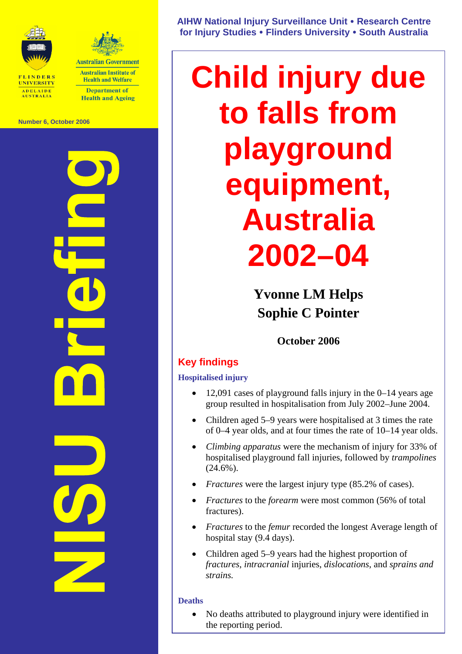



**Australian Institute of Health and Welfare Department of** 

**Health and Ageing** 

**Number 6, October 2006** 

**NISU Briefing** 

**AIHW National Injury Surveillance Unit** y **Research Centre for Injury Studies** y **Flinders University** y **South Australia** 

# **Child injury due to falls from playground equipment, Australia 2002–04**

**Yvonne LM Helps Sophie C Pointer** 

# **October 2006**

# **Key findings**

**Hospitalised injury** 

- 12,091 cases of playground falls injury in the 0–14 years age group resulted in hospitalisation from July 2002–June 2004.
- Children aged 5–9 years were hospitalised at 3 times the rate of 0–4 year olds, and at four times the rate of 10–14 year olds.
- *Climbing apparatus* were the mechanism of injury for 33% of hospitalised playground fall injuries, followed by *trampolines*  $(24.6\%)$ .
- *Fractures* were the largest injury type (85.2% of cases).
- *Fractures* to the *forearm* were most common (56% of total fractures).
- *Fractures* to the *femur* recorded the longest Average length of hospital stay (9.4 days).
- Children aged 5–9 years had the highest proportion of *fractures*, *intracranial* injuries, *dislocations*, and *sprains and strains.*

### **Deaths**

• No deaths attributed to playground injury were identified in the reporting period.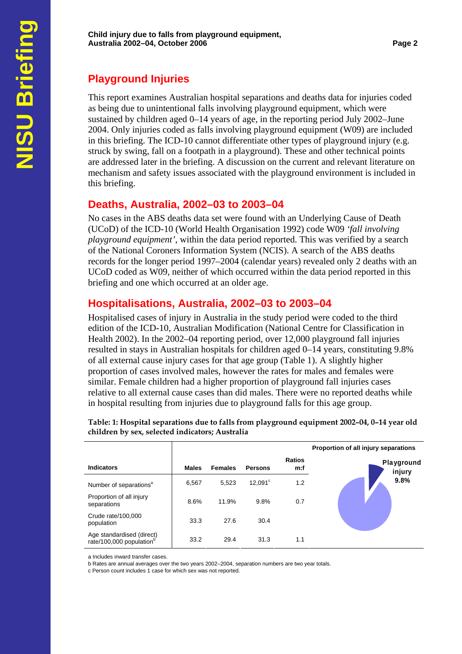# **Playground Injuries**

This report examines Australian hospital separations and deaths data for injuries coded as being due to unintentional falls involving playground equipment, which were sustained by children aged 0–14 years of age, in the reporting period July 2002–June 2004. Only injuries coded as falls involving playground equipment (W09) are included in this briefing. The ICD-10 cannot differentiate other types of playground injury (e.g. struck by swing, fall on a footpath in a playground). These and other technical points are addressed later in the briefing. A discussion on the current and relevant literature on mechanism and safety issues associated with the playground environment is included in this briefing.

## **Deaths, Australia, 2002–03 to 2003–04**

No cases in the ABS deaths data set were found with an Underlying Cause of Death (UCoD) of the ICD-10 (World Health Organisation 1992) code W09 *'fall involving playground equipment'*, within the data period reported. This was verified by a search of the National Coroners Information System (NCIS). A search of the ABS deaths records for the longer period 1997–2004 (calendar years) revealed only 2 deaths with an UCoD coded as W09, neither of which occurred within the data period reported in this briefing and one which occurred at an older age.

# **Hospitalisations, Australia, 2002–03 to 2003–04**

Hospitalised cases of injury in Australia in the study period were coded to the third edition of the ICD-10, Australian Modification (National Centre for Classification in Health 2002). In the 2002–04 reporting period, over 12,000 playground fall injuries resulted in stays in Australian hospitals for children aged 0–14 years, constituting 9.8% of all external cause injury cases for that age group (Table 1). A slightly higher proportion of cases involved males, however the rates for males and females were similar. Female children had a higher proportion of playground fall injuries cases relative to all external cause cases than did males. There were no reported deaths while in hospital resulting from injuries due to playground falls for this age group.

|                                                                   |              |                |                  |                      | Proportion of all injury separations |
|-------------------------------------------------------------------|--------------|----------------|------------------|----------------------|--------------------------------------|
| <b>Indicators</b>                                                 | <b>Males</b> | <b>Females</b> | <b>Persons</b>   | <b>Ratios</b><br>m:f | Playground<br>injury                 |
| Number of separations <sup>a</sup>                                | 6,567        | 5.523          | $12,091^{\circ}$ | 1.2                  | 9.8%                                 |
| Proportion of all injury<br>separations                           | 8.6%         | 11.9%          | 9.8%             | 0.7                  |                                      |
| Crude rate/100,000<br>population                                  | 33.3         | 27.6           | 30.4             |                      |                                      |
| Age standardised (direct)<br>rate/100,000 population <sup>b</sup> | 33.2         | 29.4           | 31.3             | 1.1                  |                                      |

**Table: 1: Hospital separations due to falls from playground equipment 2002–04, 0–14 year old children by sex, selected indicators; Australia** 

a Includes inward transfer cases.

b Rates are annual averages over the two years 2002–2004, separation numbers are two year totals.

c Person count includes 1 case for which sex was not reported.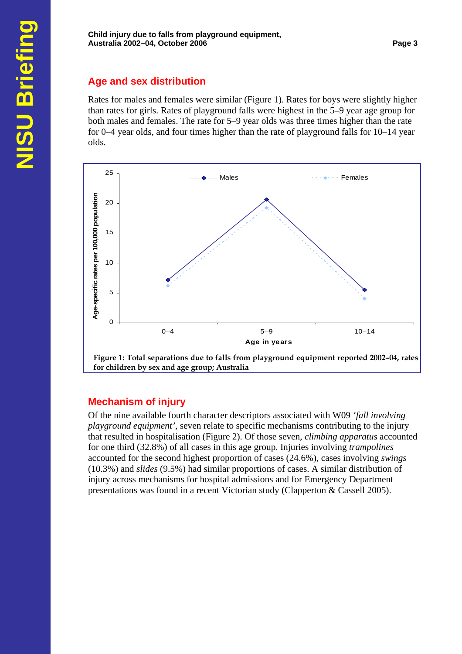## **Age and sex distribution**

Rates for males and females were similar (Figure 1). Rates for boys were slightly higher than rates for girls. Rates of playground falls were highest in the 5–9 year age group for both males and females. The rate for 5–9 year olds was three times higher than the rate for 0–4 year olds, and four times higher than the rate of playground falls for 10–14 year olds.



## **Mechanism of injury**

Of the nine available fourth character descriptors associated with W09 *'fall involving playground equipment'*, seven relate to specific mechanisms contributing to the injury that resulted in hospitalisation (Figure 2). Of those seven, *climbing apparatus* accounted for one third (32.8%) of all cases in this age group. Injuries involving *trampolines* accounted for the second highest proportion of cases (24.6%), cases involving *swings* (10.3%) and *slides* (9.5%) had similar proportions of cases. A similar distribution of injury across mechanisms for hospital admissions and for Emergency Department presentations was found in a recent Victorian study (Clapperton & Cassell 2005).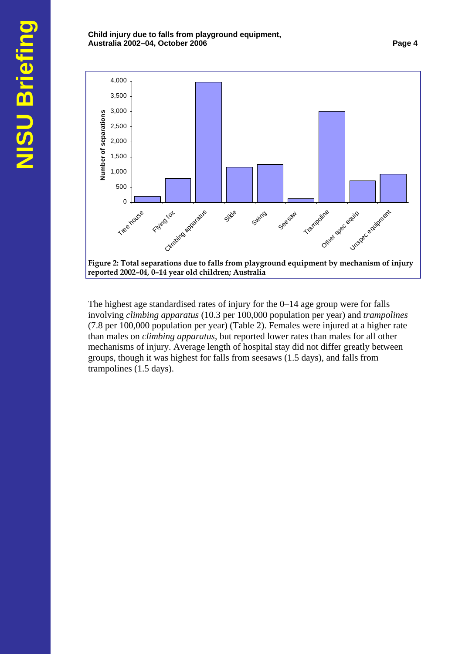

The highest age standardised rates of injury for the 0–14 age group were for falls involving *climbing apparatus* (10.3 per 100,000 population per year) and *trampolines* (7.8 per 100,000 population per year) (Table 2). Females were injured at a higher rate than males on *climbing apparatus*, but reported lower rates than males for all other mechanisms of injury. Average length of hospital stay did not differ greatly between groups, though it was highest for falls from seesaws (1.5 days), and falls from trampolines (1.5 days).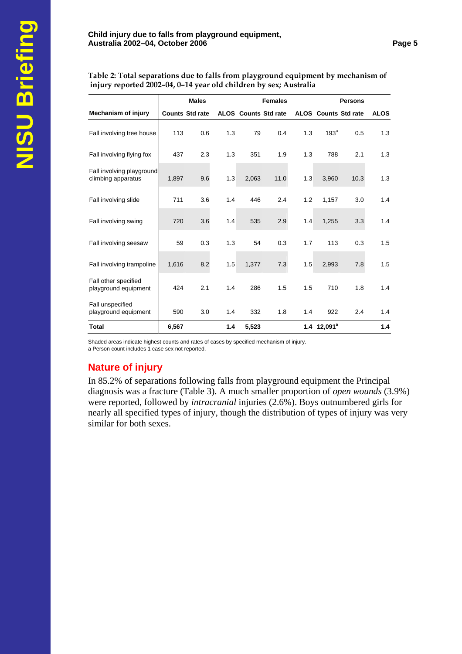**Table 2: Total separations due to falls from playground equipment by mechanism of injury reported 2002–04, 0–14 year old children by sex; Australia** 

|                                                 | <b>Males</b><br><b>Females</b> |                        |     |                             | <b>Persons</b> |     |                             |      |             |
|-------------------------------------------------|--------------------------------|------------------------|-----|-----------------------------|----------------|-----|-----------------------------|------|-------------|
| <b>Mechanism of injury</b>                      |                                | <b>Counts Std rate</b> |     | <b>ALOS</b> Counts Std rate |                |     | <b>ALOS</b> Counts Std rate |      | <b>ALOS</b> |
| Fall involving tree house                       | 113                            | 0.6                    | 1.3 | 79                          | 0.4            | 1.3 | 193 <sup>a</sup>            | 0.5  | 1.3         |
| Fall involving flying fox                       | 437                            | 2.3                    | 1.3 | 351                         | 1.9            | 1.3 | 788                         | 2.1  | 1.3         |
| Fall involving playground<br>climbing apparatus | 1,897                          | 9.6                    | 1.3 | 2,063                       | 11.0           | 1.3 | 3,960                       | 10.3 | 1.3         |
| Fall involving slide                            | 711                            | 3.6                    | 1.4 | 446                         | 2.4            | 1.2 | 1,157                       | 3.0  | 1.4         |
| Fall involving swing                            | 720                            | 3.6                    | 1.4 | 535                         | 2.9            | 1.4 | 1,255                       | 3.3  | 1.4         |
| Fall involving seesaw                           | 59                             | 0.3                    | 1.3 | 54                          | 0.3            | 1.7 | 113                         | 0.3  | 1.5         |
| Fall involving trampoline                       | 1,616                          | 8.2                    | 1.5 | 1,377                       | 7.3            | 1.5 | 2,993                       | 7.8  | 1.5         |
| Fall other specified<br>playground equipment    | 424                            | 2.1                    | 1.4 | 286                         | 1.5            | 1.5 | 710                         | 1.8  | 1.4         |
| Fall unspecified<br>playground equipment        | 590                            | 3.0                    | 1.4 | 332                         | 1.8            | 1.4 | 922                         | 2.4  | 1.4         |
| <b>Total</b>                                    | 6,567                          |                        | 1.4 | 5,523                       |                |     | $1.4$ 12,091 <sup>a</sup>   |      | 1.4         |

Shaded areas indicate highest counts and rates of cases by specified mechanism of injury. a Person count includes 1 case sex not reported.

## **Nature of injury**

In 85.2% of separations following falls from playground equipment the Principal diagnosis was a fracture (Table 3). A much smaller proportion of *open wounds* (3.9%) were reported, followed by *intracranial* injuries (2.6%). Boys outnumbered girls for nearly all specified types of injury, though the distribution of types of injury was very similar for both sexes.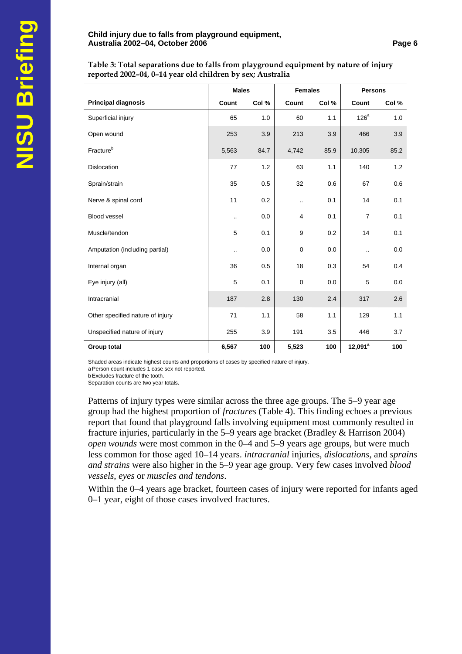#### **Child injury due to falls from playground equipment, Australia 2002–04, October 2006 Page 6**

**Table 3: Total separations due to falls from playground equipment by nature of injury reported 2002–04, 0–14 year old children by sex; Australia** 

|                                  | <b>Males</b>         |       | <b>Females</b> |       | <b>Persons</b>       |       |
|----------------------------------|----------------------|-------|----------------|-------|----------------------|-------|
| <b>Principal diagnosis</b>       | Count                | Col % | Count          | Col % | Count                | Col % |
| Superficial injury               | 65                   | 1.0   | 60             | 1.1   | 126 <sup>a</sup>     | 1.0   |
| Open wound                       | 253                  | 3.9   | 213            | 3.9   | 466                  | 3.9   |
| Fracture <sup>b</sup>            | 5,563                | 84.7  | 4,742          | 85.9  | 10,305               | 85.2  |
| <b>Dislocation</b>               | 77                   | 1.2   | 63             | 1.1   | 140                  | 1.2   |
| Sprain/strain                    | 35                   | 0.5   | 32             | 0.6   | 67                   | 0.6   |
| Nerve & spinal cord              | 11                   | 0.2   |                | 0.1   | 14                   | 0.1   |
| Blood vessel                     | $\ddot{\phantom{a}}$ | 0.0   | 4              | 0.1   | $\overline{7}$       | 0.1   |
| Muscle/tendon                    | 5                    | 0.1   | 9              | 0.2   | 14                   | 0.1   |
| Amputation (including partial)   |                      | 0.0   | $\mathbf 0$    | 0.0   | $\ddot{\phantom{a}}$ | 0.0   |
| Internal organ                   | 36                   | 0.5   | 18             | 0.3   | 54                   | 0.4   |
| Eye injury (all)                 | 5                    | 0.1   | $\mathbf 0$    | 0.0   | 5                    | 0.0   |
| Intracranial                     | 187                  | 2.8   | 130            | 2.4   | 317                  | 2.6   |
| Other specified nature of injury | 71                   | 1.1   | 58             | 1.1   | 129                  | 1.1   |
| Unspecified nature of injury     | 255                  | 3.9   | 191            | 3.5   | 446                  | 3.7   |
| <b>Group total</b>               | 6,567                | 100   | 5,523          | 100   | $12,091^a$           | 100   |

Shaded areas indicate highest counts and proportions of cases by specified nature of injury.

a Person count includes 1 case sex not reported.

b Excludes fracture of the tooth.

Separation counts are two year totals.

Patterns of injury types were similar across the three age groups. The 5–9 year age group had the highest proportion of *fractures* (Table 4). This finding echoes a previous report that found that playground falls involving equipment most commonly resulted in fracture injuries, particularly in the 5–9 years age bracket (Bradley & Harrison 2004) *open wounds* were most common in the 0–4 and 5–9 years age groups, but were much less common for those aged 10–14 years. *intracranial* injuries, *dislocations*, and *sprains and strains* were also higher in the 5–9 year age group. Very few cases involved *blood vessels*, *eyes* or *muscles and tendons*.

Within the 0–4 years age bracket, fourteen cases of injury were reported for infants aged 0–1 year, eight of those cases involved fractures.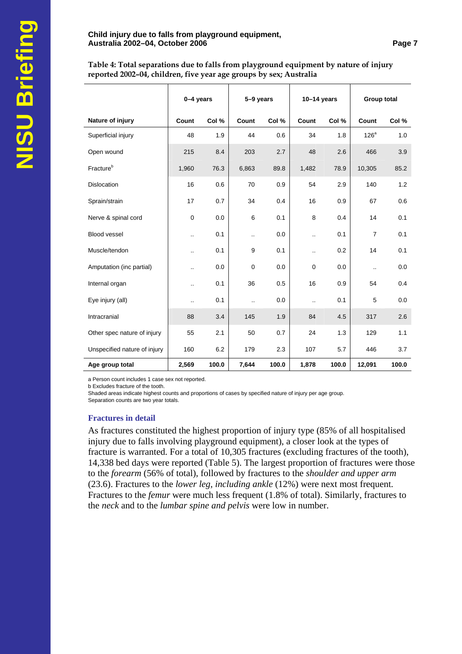#### **Child injury due to falls from playground equipment, Australia 2002–04, October 2006 Page 7**

**Table 4: Total separations due to falls from playground equipment by nature of injury reported 2002–04, children, five year age groups by sex; Australia** 

|                              | 0-4 years            |       | 5-9 years            |       | $10-14$ years        |       | Group total          |       |
|------------------------------|----------------------|-------|----------------------|-------|----------------------|-------|----------------------|-------|
| Nature of injury             | Count                | Col % | Count                | Col % | Count                | Col % | Count                | Col % |
| Superficial injury           | 48                   | 1.9   | 44                   | 0.6   | 34                   | 1.8   | $126^a$              | 1.0   |
| Open wound                   | 215                  | 8.4   | 203                  | 2.7   | 48                   | 2.6   | 466                  | 3.9   |
| Fracture <sup>b</sup>        | 1,960                | 76.3  | 6,863                | 89.8  | 1,482                | 78.9  | 10,305               | 85.2  |
| <b>Dislocation</b>           | 16                   | 0.6   | 70                   | 0.9   | 54                   | 2.9   | 140                  | 1.2   |
| Sprain/strain                | 17                   | 0.7   | 34                   | 0.4   | 16                   | 0.9   | 67                   | 0.6   |
| Nerve & spinal cord          | $\mathbf 0$          | 0.0   | 6                    | 0.1   | 8                    | 0.4   | 14                   | 0.1   |
| Blood vessel                 | $\ddotsc$            | 0.1   | $\ddot{\phantom{a}}$ | 0.0   | $\ddot{\phantom{a}}$ | 0.1   | $\overline{7}$       | 0.1   |
| Muscle/tendon                | $\ddot{\phantom{a}}$ | 0.1   | 9                    | 0.1   | $\ddot{\phantom{a}}$ | 0.2   | 14                   | 0.1   |
| Amputation (inc partial)     | $\ddot{\phantom{a}}$ | 0.0   | $\mathbf 0$          | 0.0   | $\mathbf 0$          | 0.0   | $\ddot{\phantom{a}}$ | 0.0   |
| Internal organ               | $\ddotsc$            | 0.1   | 36                   | 0.5   | 16                   | 0.9   | 54                   | 0.4   |
| Eye injury (all)             | $\ddotsc$            | 0.1   | $\ddot{\phantom{a}}$ | 0.0   | $\ddot{\phantom{a}}$ | 0.1   | 5                    | 0.0   |
| Intracranial                 | 88                   | 3.4   | 145                  | 1.9   | 84                   | 4.5   | 317                  | 2.6   |
| Other spec nature of injury  | 55                   | 2.1   | 50                   | 0.7   | 24                   | 1.3   | 129                  | 1.1   |
| Unspecified nature of injury | 160                  | 6.2   | 179                  | 2.3   | 107                  | 5.7   | 446                  | 3.7   |
| Age group total              | 2,569                | 100.0 | 7,644                | 100.0 | 1,878                | 100.0 | 12,091               | 100.0 |

a Person count includes 1 case sex not reported.

b Excludes fracture of the tooth.

Shaded areas indicate highest counts and proportions of cases by specified nature of injury per age group.

Separation counts are two year totals.

#### **Fractures in detail**

As fractures constituted the highest proportion of injury type (85% of all hospitalised injury due to falls involving playground equipment), a closer look at the types of fracture is warranted. For a total of 10,305 fractures (excluding fractures of the tooth), 14,338 bed days were reported (Table 5). The largest proportion of fractures were those to the *forearm* (56% of total), followed by fractures to the *shoulder and upper arm* (23.6). Fractures to the *lower leg, including ankle* (12%) were next most frequent. Fractures to the *femur* were much less frequent (1.8% of total). Similarly, fractures to the *neck* and to the *lumbar spine and pelvis* were low in number.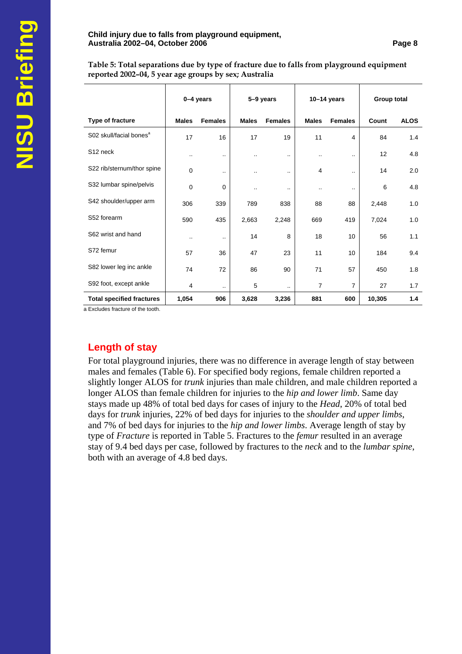#### **Child injury due to falls from playground equipment, Australia 2002–04, October 2006 Page 8**

**Table 5: Total separations due by type of fracture due to falls from playground equipment reported 2002–04, 5 year age groups by sex; Australia** 

|                                     | 0-4 years    |                | 5-9 years    |                      | $10-14$ years  |                | Group total |             |
|-------------------------------------|--------------|----------------|--------------|----------------------|----------------|----------------|-------------|-------------|
| Type of fracture                    | <b>Males</b> | <b>Females</b> | <b>Males</b> | <b>Females</b>       | <b>Males</b>   | <b>Females</b> | Count       | <b>ALOS</b> |
| S02 skull/facial bones <sup>a</sup> | 17           | 16             | 17           | 19                   | 11             | 4              | 84          | 1.4         |
| S <sub>12</sub> neck                |              |                |              | $\ddotsc$            | ٠.             | $\ddotsc$      | 12          | 4.8         |
| S22 rib/sternum/thor spine          | 0            | $\sim$         |              | $\ddotsc$            | 4              | $\ddotsc$      | 14          | 2.0         |
| S32 lumbar spine/pelvis             | 0            | 0              | ٠.           | $\ddotsc$            |                | $\cdot$ .      | 6           | 4.8         |
| S42 shoulder/upper arm              | 306          | 339            | 789          | 838                  | 88             | 88             | 2,448       | 1.0         |
| S52 forearm                         | 590          | 435            | 2,663        | 2,248                | 669            | 419            | 7,024       | 1.0         |
| S62 wrist and hand                  |              |                | 14           | 8                    | 18             | 10             | 56          | 1.1         |
| S72 femur                           | 57           | 36             | 47           | 23                   | 11             | 10             | 184         | 9.4         |
| S82 lower leg inc ankle             | 74           | 72             | 86           | 90                   | 71             | 57             | 450         | 1.8         |
| S92 foot, except ankle              | 4            | $\ddotsc$      | 5            | $\ddot{\phantom{a}}$ | $\overline{7}$ | $\overline{7}$ | 27          | 1.7         |
| <b>Total specified fractures</b>    | 1,054        | 906            | 3,628        | 3,236                | 881            | 600            | 10,305      | 1.4         |

a Excludes fracture of the tooth.

## **Length of stay**

For total playground injuries, there was no difference in average length of stay between males and females (Table 6). For specified body regions, female children reported a slightly longer ALOS for *trunk* injuries than male children, and male children reported a longer ALOS than female children for injuries to the *hip and lower limb*. Same day stays made up 48% of total bed days for cases of injury to the *Head*, 20% of total bed days for *trunk* injuries, 22% of bed days for injuries to the *shoulder and upper limbs*, and 7% of bed days for injuries to the *hip and lower limbs*. Average length of stay by type of *Fracture* is reported in Table 5. Fractures to the *femur* resulted in an average stay of 9.4 bed days per case, followed by fractures to the *neck* and to the *lumbar spine*, both with an average of 4.8 bed days.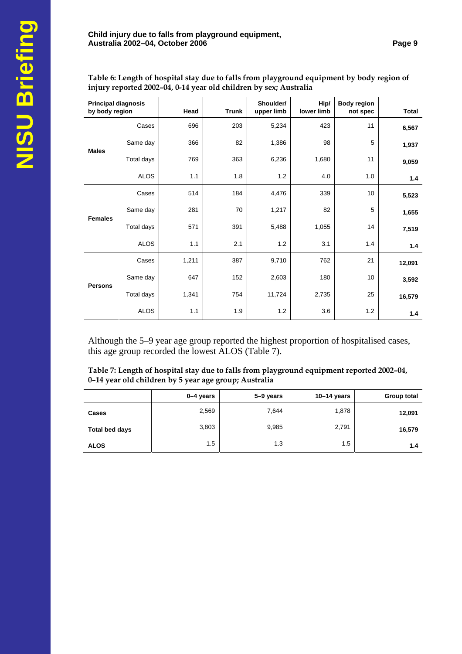**Table 6: Length of hospital stay due to falls from playground equipment by body region of injury reported 2002–04, 0-14 year old children by sex; Australia** 

| <b>Principal diagnosis</b><br>by body region |             | Head  | <b>Trunk</b> | Shoulder/<br>upper limb | Hip/<br>lower limb | <b>Body region</b><br>not spec | <b>Total</b> |
|----------------------------------------------|-------------|-------|--------------|-------------------------|--------------------|--------------------------------|--------------|
|                                              | Cases       | 696   | 203          | 5,234                   | 423                | 11                             | 6,567        |
| <b>Males</b>                                 | Same day    | 366   | 82           | 1,386                   | 98                 | 5                              | 1,937        |
|                                              | Total days  | 769   | 363          | 6,236                   | 1,680              | 11                             | 9,059        |
|                                              | <b>ALOS</b> | 1.1   | 1.8          | 1.2                     | 4.0                | 1.0                            | 1.4          |
|                                              | Cases       | 514   | 184          | 4,476                   | 339                | 10                             | 5,523        |
|                                              | Same day    | 281   | 70           | 1,217                   | 82                 | 5                              | 1,655        |
| <b>Females</b>                               | Total days  | 571   | 391          | 5,488                   | 1,055              | 14                             | 7,519        |
|                                              | <b>ALOS</b> | 1.1   | 2.1          | 1.2                     | 3.1                | 1.4                            | 1.4          |
|                                              | Cases       | 1,211 | 387          | 9,710                   | 762                | 21                             | 12,091       |
|                                              | Same day    | 647   | 152          | 2,603                   | 180                | 10                             | 3,592        |
| <b>Persons</b>                               | Total days  | 1,341 | 754          | 11,724                  | 2,735              | 25                             | 16,579       |
|                                              | <b>ALOS</b> | 1.1   | 1.9          | 1.2                     | 3.6                | 1.2                            | 1.4          |

Although the 5–9 year age group reported the highest proportion of hospitalised cases, this age group recorded the lowest ALOS (Table 7).

**Table 7: Length of hospital stay due to falls from playground equipment reported 2002–04, 0–14 year old children by 5 year age group; Australia** 

|                | 0-4 years | 5-9 years | $10-14$ years | Group total |
|----------------|-----------|-----------|---------------|-------------|
| Cases          | 2,569     | 7,644     | 1,878         | 12,091      |
| Total bed days | 3,803     | 9,985     | 2,791         | 16,579      |
| <b>ALOS</b>    | 1.5       | 1.3       | 1.5           | 1.4         |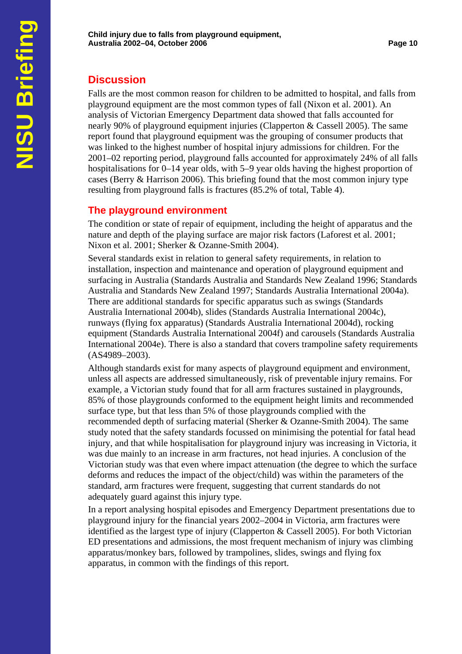## **Discussion**

Falls are the most common reason for children to be admitted to hospital, and falls from playground equipment are the most common types of fall (Nixon et al. 2001). An analysis of Victorian Emergency Department data showed that falls accounted for nearly 90% of playground equipment injuries (Clapperton & Cassell 2005). The same report found that playground equipment was the grouping of consumer products that was linked to the highest number of hospital injury admissions for children. For the 2001–02 reporting period, playground falls accounted for approximately 24% of all falls hospitalisations for 0–14 year olds, with 5–9 year olds having the highest proportion of cases (Berry & Harrison 2006). This briefing found that the most common injury type resulting from playground falls is fractures (85.2% of total, Table 4).

## **The playground environment**

The condition or state of repair of equipment, including the height of apparatus and the nature and depth of the playing surface are major risk factors (Laforest et al. 2001; Nixon et al. 2001; Sherker & Ozanne-Smith 2004).

Several standards exist in relation to general safety requirements, in relation to installation, inspection and maintenance and operation of playground equipment and surfacing in Australia (Standards Australia and Standards New Zealand 1996; Standards Australia and Standards New Zealand 1997; Standards Australia International 2004a). There are additional standards for specific apparatus such as swings (Standards Australia International 2004b), slides (Standards Australia International 2004c), runways (flying fox apparatus) (Standards Australia International 2004d), rocking equipment (Standards Australia International 2004f) and carousels (Standards Australia International 2004e). There is also a standard that covers trampoline safety requirements (AS4989–2003).

Although standards exist for many aspects of playground equipment and environment, unless all aspects are addressed simultaneously, risk of preventable injury remains. For example, a Victorian study found that for all arm fractures sustained in playgrounds, 85% of those playgrounds conformed to the equipment height limits and recommended surface type, but that less than 5% of those playgrounds complied with the recommended depth of surfacing material (Sherker & Ozanne-Smith 2004). The same study noted that the safety standards focussed on minimising the potential for fatal head injury, and that while hospitalisation for playground injury was increasing in Victoria, it was due mainly to an increase in arm fractures, not head injuries. A conclusion of the Victorian study was that even where impact attenuation (the degree to which the surface deforms and reduces the impact of the object/child) was within the parameters of the standard, arm fractures were frequent, suggesting that current standards do not adequately guard against this injury type.

In a report analysing hospital episodes and Emergency Department presentations due to playground injury for the financial years 2002–2004 in Victoria, arm fractures were identified as the largest type of injury (Clapperton & Cassell 2005). For both Victorian ED presentations and admissions, the most frequent mechanism of injury was climbing apparatus/monkey bars, followed by trampolines, slides, swings and flying fox apparatus, in common with the findings of this report.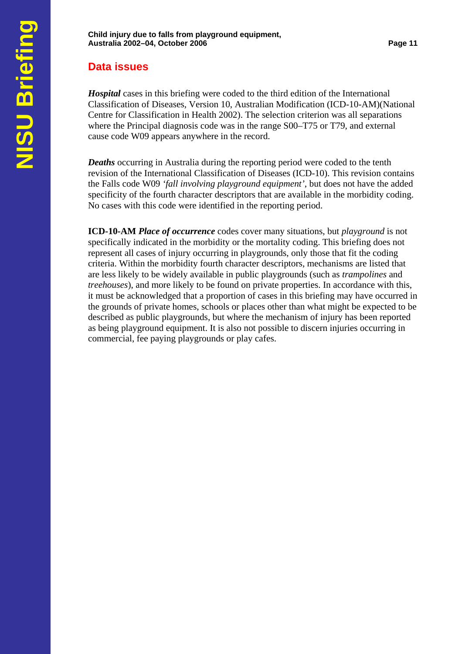# **Data issues**

*Hospital* cases in this briefing were coded to the third edition of the International Classification of Diseases, Version 10, Australian Modification (ICD-10-AM)(National Centre for Classification in Health 2002). The selection criterion was all separations where the Principal diagnosis code was in the range S00–T75 or T79, and external cause code W09 appears anywhere in the record.

*Deaths* occurring in Australia during the reporting period were coded to the tenth revision of the International Classification of Diseases (ICD-10). This revision contains the Falls code W09 *'fall involving playground equipment'*, but does not have the added specificity of the fourth character descriptors that are available in the morbidity coding. No cases with this code were identified in the reporting period.

**ICD-10-AM** *Place of occurrence* codes cover many situations, but *playground* is not specifically indicated in the morbidity or the mortality coding. This briefing does not represent all cases of injury occurring in playgrounds, only those that fit the coding criteria. Within the morbidity fourth character descriptors, mechanisms are listed that are less likely to be widely available in public playgrounds (such as *trampolines* and *treehouses*), and more likely to be found on private properties. In accordance with this, it must be acknowledged that a proportion of cases in this briefing may have occurred in the grounds of private homes, schools or places other than what might be expected to be described as public playgrounds, but where the mechanism of injury has been reported as being playground equipment. It is also not possible to discern injuries occurring in commercial, fee paying playgrounds or play cafes.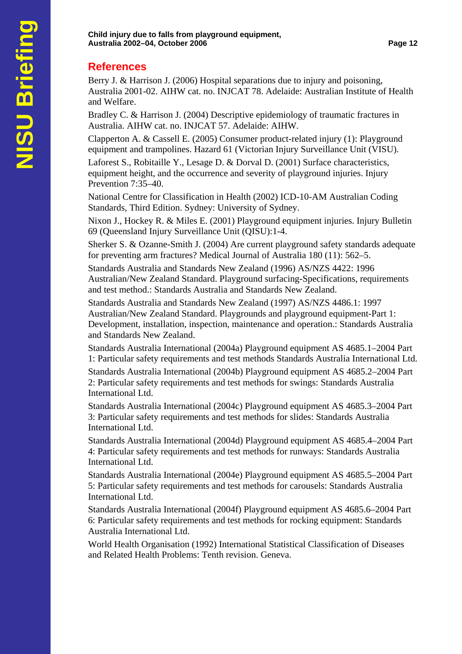## **References**

Berry J. & Harrison J. (2006) Hospital separations due to injury and poisoning, Australia 2001-02. AIHW cat. no. INJCAT 78. Adelaide: Australian Institute of Health and Welfare.

Bradley C. & Harrison J. (2004) Descriptive epidemiology of traumatic fractures in Australia. AIHW cat. no. INJCAT 57. Adelaide: AIHW.

Clapperton A. & Cassell E. (2005) Consumer product-related injury (1): Playground equipment and trampolines. Hazard 61 (Victorian Injury Surveillance Unit (VISU).

Laforest S., Robitaille Y., Lesage D. & Dorval D. (2001) Surface characteristics, equipment height, and the occurrence and severity of playground injuries. Injury Prevention 7:35–40.

National Centre for Classification in Health (2002) ICD-10-AM Australian Coding Standards, Third Edition. Sydney: University of Sydney.

Nixon J., Hockey R. & Miles E. (2001) Playground equipment injuries. Injury Bulletin 69 (Queensland Injury Surveillance Unit (QISU):1-4.

Sherker S. & Ozanne-Smith J. (2004) Are current playground safety standards adequate for preventing arm fractures? Medical Journal of Australia 180 (11): 562–5.

Standards Australia and Standards New Zealand (1996) AS/NZS 4422: 1996 Australian/New Zealand Standard. Playground surfacing-Specifications, requirements and test method.: Standards Australia and Standards New Zealand.

Standards Australia and Standards New Zealand (1997) AS/NZS 4486.1: 1997 Australian/New Zealand Standard. Playgrounds and playground equipment-Part 1: Development, installation, inspection, maintenance and operation.: Standards Australia and Standards New Zealand.

Standards Australia International (2004a) Playground equipment AS 4685.1–2004 Part 1: Particular safety requirements and test methods Standards Australia International Ltd.

Standards Australia International (2004b) Playground equipment AS 4685.2–2004 Part 2: Particular safety requirements and test methods for swings: Standards Australia International Ltd.

Standards Australia International (2004c) Playground equipment AS 4685.3–2004 Part 3: Particular safety requirements and test methods for slides: Standards Australia International Ltd.

Standards Australia International (2004d) Playground equipment AS 4685.4–2004 Part 4: Particular safety requirements and test methods for runways: Standards Australia International Ltd.

Standards Australia International (2004e) Playground equipment AS 4685.5–2004 Part 5: Particular safety requirements and test methods for carousels: Standards Australia International Ltd.

Standards Australia International (2004f) Playground equipment AS 4685.6–2004 Part 6: Particular safety requirements and test methods for rocking equipment: Standards Australia International Ltd.

World Health Organisation (1992) International Statistical Classification of Diseases and Related Health Problems: Tenth revision. Geneva.